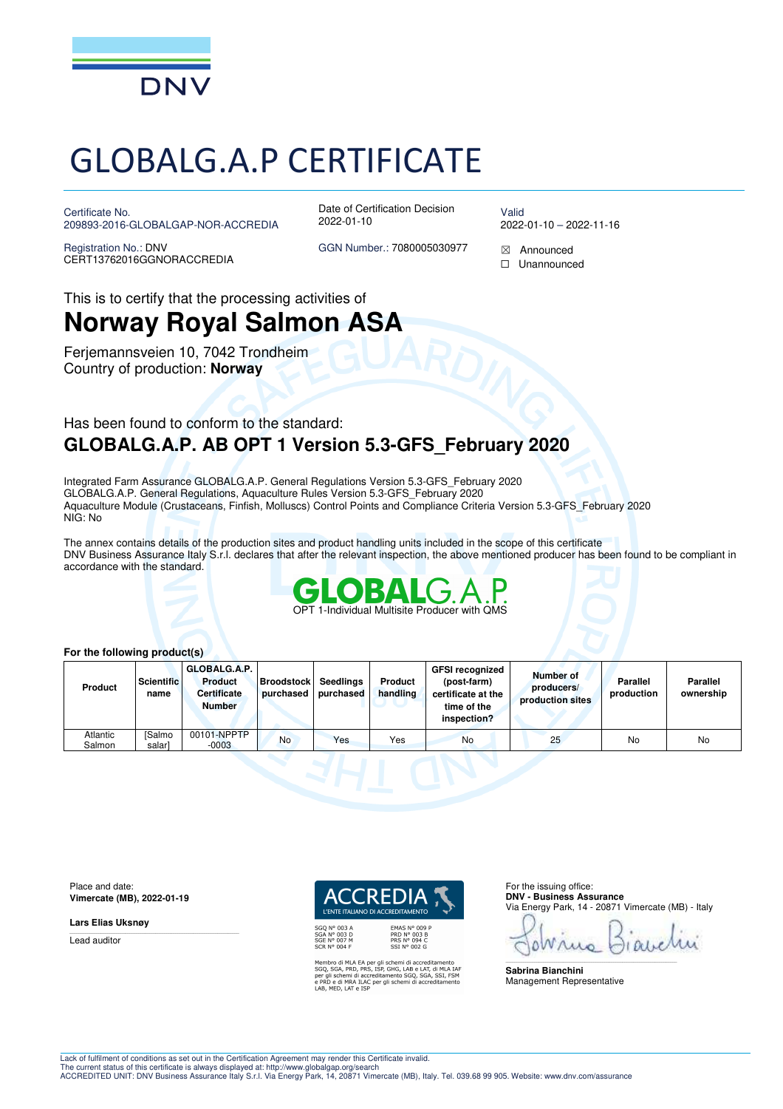

# GLOBALG.A.P CERTIFICATE

Certificate No. 209893-2016-GLOBALGAP-NOR-ACCREDIA

Registration No.: DNV CERT13762016GGNORACCREDIA Date of Certification Decision 2022-01-10

Valid 2022-01-10 – 2022-11-16

GGN Number.: 7080005030977  $\boxtimes$  Announced

☐ Unannounced

This is to certify that the processing activities of

## **Norway Royal Salmon ASA**

Ferjemannsveien 10, 7042 Trondheim Country of production: **Norway**

### Has been found to conform to the standard: **GLOBALG.A.P. AB OPT 1 Version 5.3-GFS\_February 2020**

Integrated Farm Assurance GLOBALG.A.P. General Regulations Version 5.3-GFS\_February 2020 GLOBALG.A.P. General Regulations, Aquaculture Rules Version 5.3-GFS\_February 2020 Aquaculture Module (Crustaceans, Finfish, Molluscs) Control Points and Compliance Criteria Version 5.3-GFS\_February 2020 NIG: No

The annex contains details of the production sites and product handling units included in the scope of this certificate DNV Business Assurance Italy S.r.l. declares that after the relevant inspection, the above mentioned producer has been found to be compliant in accordance with the standard.



#### **For the following product(s)**

| <b>Product</b>     | <b>Scientific</b><br>name | GLOBALG.A.P.<br><b>Product</b><br><b>Certificate</b><br><b>Number</b> | <b>Broodstock</b><br>purchased | Seedlings<br>purchased | Product<br>handling | <b>GFSI recognized</b><br>(post-farm)<br>certificate at the<br>time of the<br>inspection? | Number of<br>producers/<br>production sites | <b>Parallel</b><br>production | <b>Parallel</b><br>ownership |
|--------------------|---------------------------|-----------------------------------------------------------------------|--------------------------------|------------------------|---------------------|-------------------------------------------------------------------------------------------|---------------------------------------------|-------------------------------|------------------------------|
| Atlantic<br>Salmon | <b>ISalmo</b><br>salar    | 00101-NPPTP<br>$-0003$                                                | <b>No</b>                      | Yes                    | Yes                 | No                                                                                        | 25                                          | No                            | No                           |

Place and date: **Vimercate (MB), 2022-01-19** 

**Lars Elias Uksnøy** 

Lead auditor



Membro di MLA EA per gli schemi di accreditamento<br>SGQ, SGA, PRD, PRS, ISP, GHG, LAB e LAT, di MLA IAI<br>per gli schemi di accreditamento SGQ, SGA, SSI, FSM<br>e PRD e di MRA ILAC per gli schemi di accreditamento<br>LAB, MED, LAT e

For the issuing office: **DNV - Business Assurance**  Via Energy Park, 14 - 20871 Vimercate (MB) - Italy

\_\_\_\_\_\_\_\_\_\_\_\_\_\_\_\_\_\_\_\_\_\_\_\_\_\_\_\_\_\_\_\_\_\_\_\_\_\_\_\_\_\_\_\_\_\_\_\_\_\_\_\_\_\_\_\_\_\_\_\_\_\_\_\_\_\_\_\_\_\_\_\_\_\_\_\_\_\_

**Sabrina Bianchini**  Management Representative

Lack of fulfilment of conditions as set out in the Certification Agreement may render this Certificate invalid.

The current status of this certificate is always displayed at: http://www.globalgap.org/search<br>ACCREDITED UNIT: DNV Business Assurance Italy S.r.l. Via Energy Park, 14, 20871 Vimercate (MB), Italy. Tel. 039.68 99 905. Webs